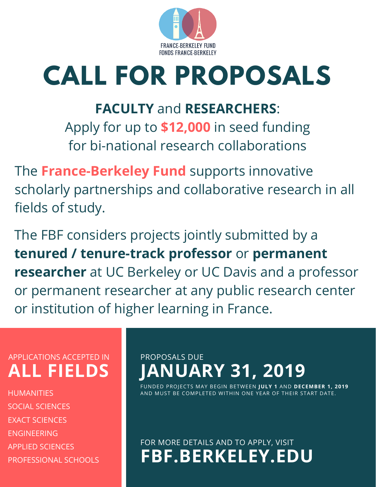

# **CALL FOR PROPOSALS**

## **FACULTY** and **RESEARCHERS**:

Apply for up to **\$12,000** in seed funding for bi-national research collaborations

The **France-Berkeley Fund** supports innovative scholarly partnerships and collaborative research in all fields of study.

The FBF considers projects jointly submitted by a **tenured / tenure-track professor** or **permanent researcher** at UC Berkeley or UC Davis and a professor or permanent researcher at any public research center or institution of higher learning in France.

## APPLICATIONS ACCEPTED IN

**HUMANITIES** SOCIAL SCIENCES EXACT SCIENCES ENGINEERING APPLIED SCIENCES PROFESSIONAL SCHOOLS

## PROPOSALS DUE **ALL FIELDS JANUARY 31, 2019**

FUNDED PROJECTS MAY BEGIN BETWEEN **JULY 1** AND **DECEMBER 1, 2019** AND MUST BE COMPLETED WITHIN ONE YEAR OF THEIR START DATE.

FOR MORE DETAILS AND TO APPLY, VISIT **FBF.BERKELEY.EDU**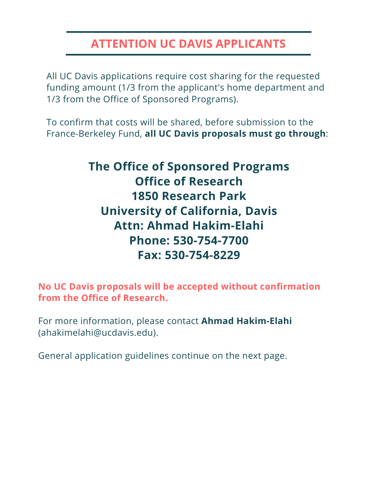## **ATTENTION UC DAVIS APPLICANTS**

All UC Davis applications require cost sharing for the requested funding amount (1/3 from the applicant's home department and 1/3 from the Office of Sponsored Programs).

To confirm that costs will be shared, before submission to the [France-Berkeley](http://fbf.berkeley.edu/application) Fund, **all UC Davis proposals must go through**:

## **The Office of Sponsored Programs Office of Research 1850 Research Park University of California, Davis Attn: Ahmad Hakim-Elahi Phone: [530-754-7700](http://fbf.berkeley.edu/application) Fax: 530-754-8229**

**No UC Davis proposals will be accepted without confirmation from the Office of Research.**

For more information, please contact **Ahmad Hakim-Elahi** [\(ahakimelahi@ucdavis.edu\).](http://fbf.berkeley.edu/application)

General application guidelines continue on the next page.